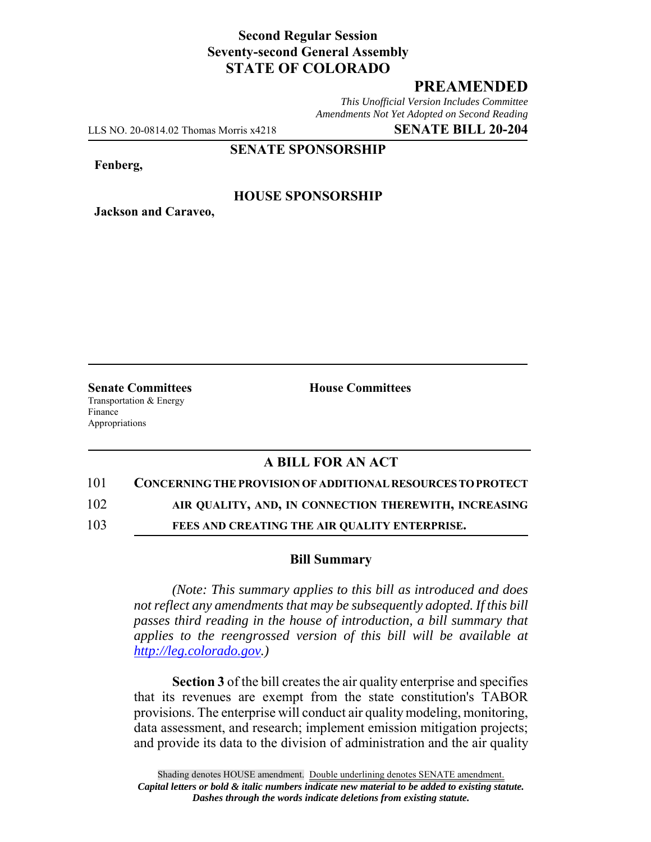# **Second Regular Session Seventy-second General Assembly STATE OF COLORADO**

# **PREAMENDED**

*This Unofficial Version Includes Committee Amendments Not Yet Adopted on Second Reading*

LLS NO. 20-0814.02 Thomas Morris x4218 **SENATE BILL 20-204**

#### **SENATE SPONSORSHIP**

**Fenberg,**

### **HOUSE SPONSORSHIP**

**Jackson and Caraveo,**

Transportation & Energy Finance Appropriations

**Senate Committees House Committees** 

## **A BILL FOR AN ACT**

#### 101 **CONCERNING THE PROVISION OF ADDITIONAL RESOURCES TO PROTECT**

102 **AIR QUALITY, AND, IN CONNECTION THEREWITH, INCREASING**

103 **FEES AND CREATING THE AIR QUALITY ENTERPRISE.**

### **Bill Summary**

*(Note: This summary applies to this bill as introduced and does not reflect any amendments that may be subsequently adopted. If this bill passes third reading in the house of introduction, a bill summary that applies to the reengrossed version of this bill will be available at http://leg.colorado.gov.)*

**Section 3** of the bill creates the air quality enterprise and specifies that its revenues are exempt from the state constitution's TABOR provisions. The enterprise will conduct air quality modeling, monitoring, data assessment, and research; implement emission mitigation projects; and provide its data to the division of administration and the air quality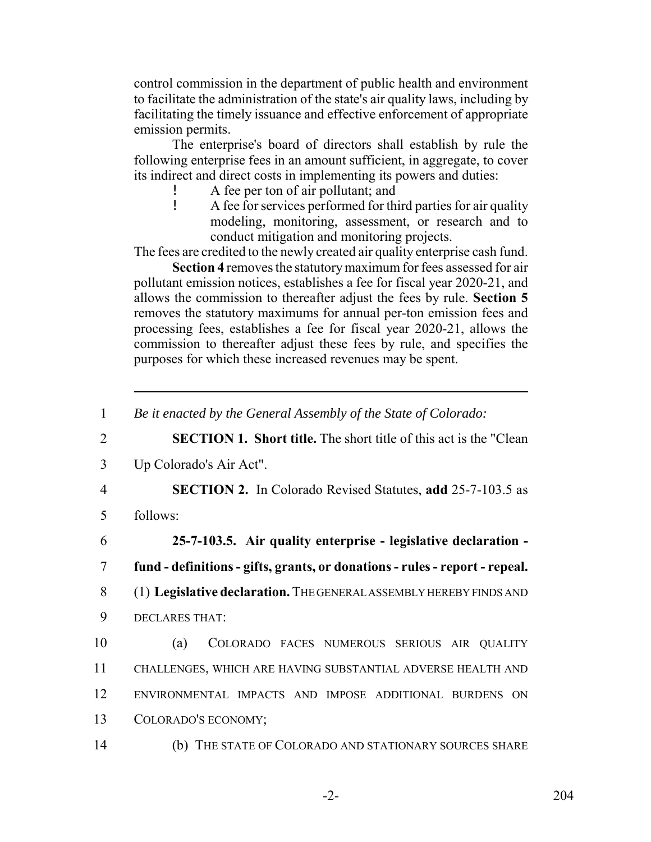control commission in the department of public health and environment to facilitate the administration of the state's air quality laws, including by facilitating the timely issuance and effective enforcement of appropriate emission permits.

The enterprise's board of directors shall establish by rule the following enterprise fees in an amount sufficient, in aggregate, to cover its indirect and direct costs in implementing its powers and duties:

- ! A fee per ton of air pollutant; and
- ! A fee for services performed for third parties for air quality modeling, monitoring, assessment, or research and to conduct mitigation and monitoring projects.

The fees are credited to the newly created air quality enterprise cash fund.

**Section 4** removes the statutory maximum for fees assessed for air pollutant emission notices, establishes a fee for fiscal year 2020-21, and allows the commission to thereafter adjust the fees by rule. **Section 5** removes the statutory maximums for annual per-ton emission fees and processing fees, establishes a fee for fiscal year 2020-21, allows the commission to thereafter adjust these fees by rule, and specifies the purposes for which these increased revenues may be spent.

2 **SECTION 1. Short title.** The short title of this act is the "Clean

3 Up Colorado's Air Act".

4 **SECTION 2.** In Colorado Revised Statutes, **add** 25-7-103.5 as

5 follows:

6 **25-7-103.5. Air quality enterprise - legislative declaration -** 7 **fund - definitions - gifts, grants, or donations - rules - report - repeal.**

- 8 (1) **Legislative declaration.** THE GENERAL ASSEMBLY HEREBY FINDS AND
- 9 DECLARES THAT:

 (a) COLORADO FACES NUMEROUS SERIOUS AIR QUALITY CHALLENGES, WHICH ARE HAVING SUBSTANTIAL ADVERSE HEALTH AND ENVIRONMENTAL IMPACTS AND IMPOSE ADDITIONAL BURDENS ON COLORADO'S ECONOMY;

14 (b) THE STATE OF COLORADO AND STATIONARY SOURCES SHARE

<sup>1</sup> *Be it enacted by the General Assembly of the State of Colorado:*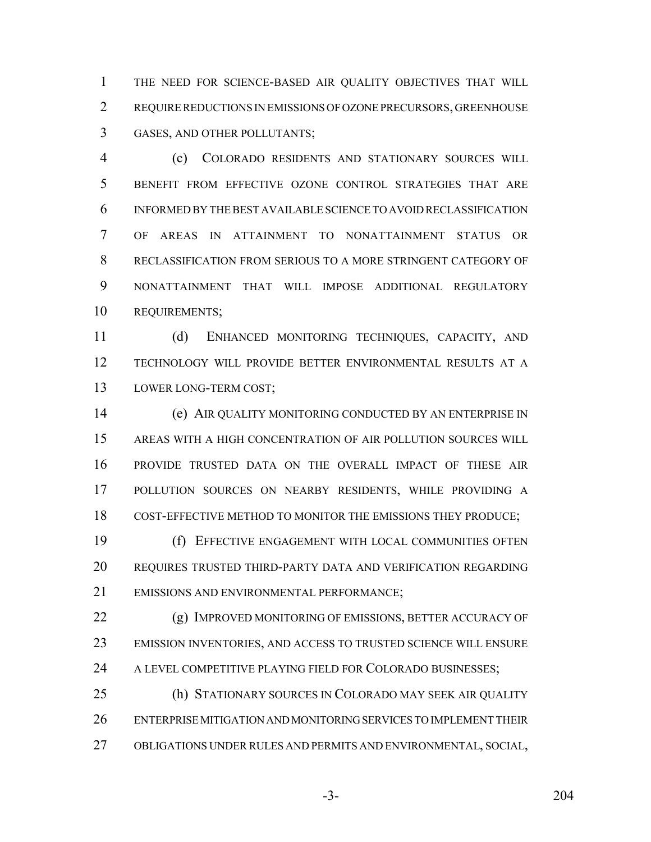THE NEED FOR SCIENCE-BASED AIR QUALITY OBJECTIVES THAT WILL REQUIRE REDUCTIONS IN EMISSIONS OF OZONE PRECURSORS, GREENHOUSE GASES, AND OTHER POLLUTANTS;

 (c) COLORADO RESIDENTS AND STATIONARY SOURCES WILL BENEFIT FROM EFFECTIVE OZONE CONTROL STRATEGIES THAT ARE INFORMED BY THE BEST AVAILABLE SCIENCE TO AVOID RECLASSIFICATION OF AREAS IN ATTAINMENT TO NONATTAINMENT STATUS OR RECLASSIFICATION FROM SERIOUS TO A MORE STRINGENT CATEGORY OF NONATTAINMENT THAT WILL IMPOSE ADDITIONAL REGULATORY REQUIREMENTS;

 (d) ENHANCED MONITORING TECHNIQUES, CAPACITY, AND TECHNOLOGY WILL PROVIDE BETTER ENVIRONMENTAL RESULTS AT A 13 LOWER LONG-TERM COST;

 (e) AIR QUALITY MONITORING CONDUCTED BY AN ENTERPRISE IN AREAS WITH A HIGH CONCENTRATION OF AIR POLLUTION SOURCES WILL PROVIDE TRUSTED DATA ON THE OVERALL IMPACT OF THESE AIR POLLUTION SOURCES ON NEARBY RESIDENTS, WHILE PROVIDING A COST-EFFECTIVE METHOD TO MONITOR THE EMISSIONS THEY PRODUCE;

 (f) EFFECTIVE ENGAGEMENT WITH LOCAL COMMUNITIES OFTEN REQUIRES TRUSTED THIRD-PARTY DATA AND VERIFICATION REGARDING EMISSIONS AND ENVIRONMENTAL PERFORMANCE;

22 (g) IMPROVED MONITORING OF EMISSIONS, BETTER ACCURACY OF EMISSION INVENTORIES, AND ACCESS TO TRUSTED SCIENCE WILL ENSURE 24 A LEVEL COMPETITIVE PLAYING FIELD FOR COLORADO BUSINESSES;

 (h) STATIONARY SOURCES IN COLORADO MAY SEEK AIR QUALITY ENTERPRISE MITIGATION AND MONITORING SERVICES TO IMPLEMENT THEIR OBLIGATIONS UNDER RULES AND PERMITS AND ENVIRONMENTAL, SOCIAL,

-3- 204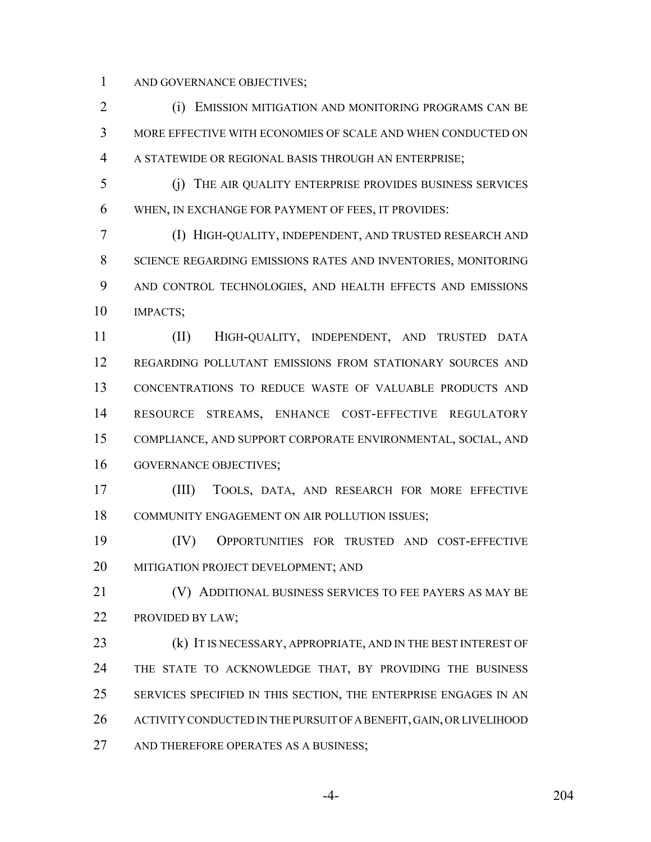AND GOVERNANCE OBJECTIVES;

 (i) EMISSION MITIGATION AND MONITORING PROGRAMS CAN BE MORE EFFECTIVE WITH ECONOMIES OF SCALE AND WHEN CONDUCTED ON A STATEWIDE OR REGIONAL BASIS THROUGH AN ENTERPRISE;

 (j) THE AIR QUALITY ENTERPRISE PROVIDES BUSINESS SERVICES WHEN, IN EXCHANGE FOR PAYMENT OF FEES, IT PROVIDES:

 (I) HIGH-QUALITY, INDEPENDENT, AND TRUSTED RESEARCH AND SCIENCE REGARDING EMISSIONS RATES AND INVENTORIES, MONITORING AND CONTROL TECHNOLOGIES, AND HEALTH EFFECTS AND EMISSIONS IMPACTS;

 (II) HIGH-QUALITY, INDEPENDENT, AND TRUSTED DATA REGARDING POLLUTANT EMISSIONS FROM STATIONARY SOURCES AND CONCENTRATIONS TO REDUCE WASTE OF VALUABLE PRODUCTS AND RESOURCE STREAMS, ENHANCE COST-EFFECTIVE REGULATORY COMPLIANCE, AND SUPPORT CORPORATE ENVIRONMENTAL, SOCIAL, AND GOVERNANCE OBJECTIVES;

 (III) TOOLS, DATA, AND RESEARCH FOR MORE EFFECTIVE COMMUNITY ENGAGEMENT ON AIR POLLUTION ISSUES;

 (IV) OPPORTUNITIES FOR TRUSTED AND COST-EFFECTIVE MITIGATION PROJECT DEVELOPMENT; AND

 (V) ADDITIONAL BUSINESS SERVICES TO FEE PAYERS AS MAY BE PROVIDED BY LAW;

23 (k) IT IS NECESSARY, APPROPRIATE, AND IN THE BEST INTEREST OF 24 THE STATE TO ACKNOWLEDGE THAT, BY PROVIDING THE BUSINESS SERVICES SPECIFIED IN THIS SECTION, THE ENTERPRISE ENGAGES IN AN ACTIVITY CONDUCTED IN THE PURSUIT OF A BENEFIT, GAIN, OR LIVELIHOOD 27 AND THEREFORE OPERATES AS A BUSINESS;

-4- 204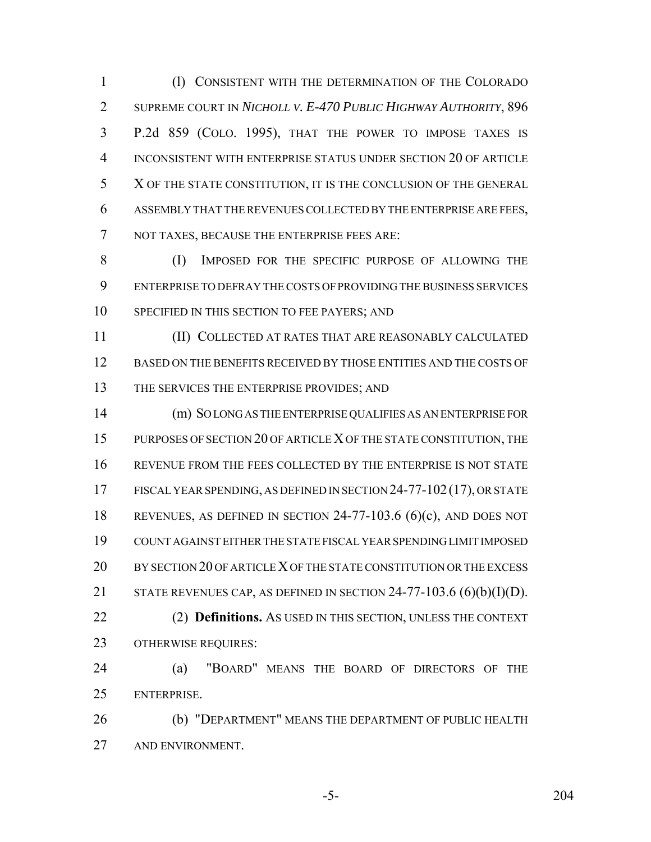(l) CONSISTENT WITH THE DETERMINATION OF THE COLORADO SUPREME COURT IN *NICHOLL V. E-470 PUBLIC HIGHWAY AUTHORITY*, 896 P.2d 859 (COLO. 1995), THAT THE POWER TO IMPOSE TAXES IS INCONSISTENT WITH ENTERPRISE STATUS UNDER SECTION 20 OF ARTICLE X OF THE STATE CONSTITUTION, IT IS THE CONCLUSION OF THE GENERAL ASSEMBLY THAT THE REVENUES COLLECTED BY THE ENTERPRISE ARE FEES, NOT TAXES, BECAUSE THE ENTERPRISE FEES ARE:

 (I) IMPOSED FOR THE SPECIFIC PURPOSE OF ALLOWING THE ENTERPRISE TO DEFRAY THE COSTS OF PROVIDING THE BUSINESS SERVICES SPECIFIED IN THIS SECTION TO FEE PAYERS; AND

 (II) COLLECTED AT RATES THAT ARE REASONABLY CALCULATED BASED ON THE BENEFITS RECEIVED BY THOSE ENTITIES AND THE COSTS OF 13 THE SERVICES THE ENTERPRISE PROVIDES; AND

 (m) SO LONG AS THE ENTERPRISE QUALIFIES AS AN ENTERPRISE FOR PURPOSES OF SECTION 20 OF ARTICLE X OF THE STATE CONSTITUTION, THE REVENUE FROM THE FEES COLLECTED BY THE ENTERPRISE IS NOT STATE FISCAL YEAR SPENDING, AS DEFINED IN SECTION 24-77-102(17), OR STATE REVENUES, AS DEFINED IN SECTION 24-77-103.6 (6)(c), AND DOES NOT COUNT AGAINST EITHER THE STATE FISCAL YEAR SPENDING LIMIT IMPOSED BY SECTION 20 OF ARTICLE X OF THE STATE CONSTITUTION OR THE EXCESS 21 STATE REVENUES CAP, AS DEFINED IN SECTION  $24-77-103.6$  (6)(b)(I)(D). (2) **Definitions.** AS USED IN THIS SECTION, UNLESS THE CONTEXT OTHERWISE REQUIRES:

 (a) "BOARD" MEANS THE BOARD OF DIRECTORS OF THE ENTERPRISE.

 (b) "DEPARTMENT" MEANS THE DEPARTMENT OF PUBLIC HEALTH AND ENVIRONMENT.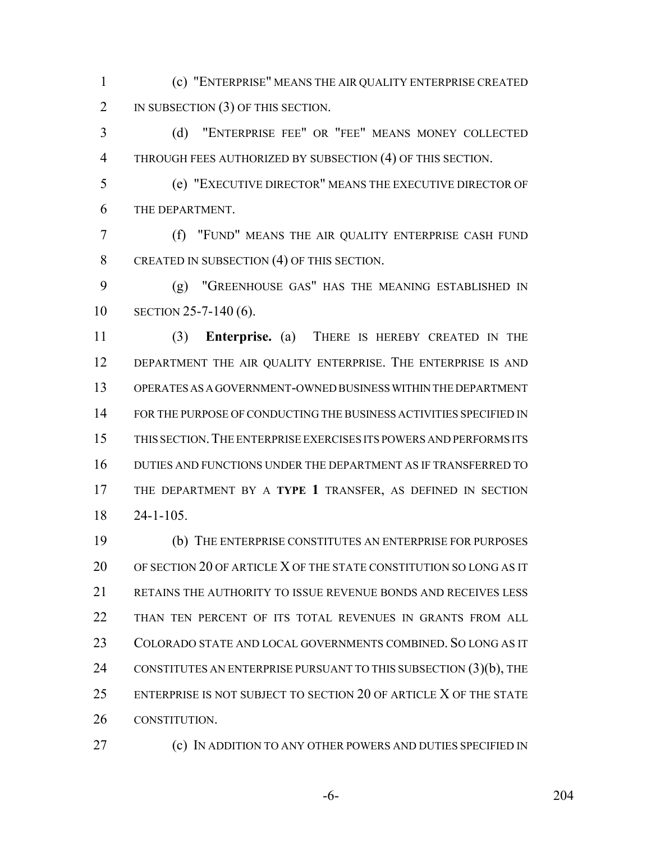(c) "ENTERPRISE" MEANS THE AIR QUALITY ENTERPRISE CREATED 2 IN SUBSECTION (3) OF THIS SECTION.

 (d) "ENTERPRISE FEE" OR "FEE" MEANS MONEY COLLECTED THROUGH FEES AUTHORIZED BY SUBSECTION (4) OF THIS SECTION.

 (e) "EXECUTIVE DIRECTOR" MEANS THE EXECUTIVE DIRECTOR OF THE DEPARTMENT.

 (f) "FUND" MEANS THE AIR QUALITY ENTERPRISE CASH FUND 8 CREATED IN SUBSECTION (4) OF THIS SECTION.

 (g) "GREENHOUSE GAS" HAS THE MEANING ESTABLISHED IN SECTION 25-7-140 (6).

 (3) **Enterprise.** (a) THERE IS HEREBY CREATED IN THE 12 DEPARTMENT THE AIR QUALITY ENTERPRISE. THE ENTERPRISE IS AND OPERATES AS A GOVERNMENT-OWNED BUSINESS WITHIN THE DEPARTMENT FOR THE PURPOSE OF CONDUCTING THE BUSINESS ACTIVITIES SPECIFIED IN THIS SECTION.THE ENTERPRISE EXERCISES ITS POWERS AND PERFORMS ITS DUTIES AND FUNCTIONS UNDER THE DEPARTMENT AS IF TRANSFERRED TO THE DEPARTMENT BY A **TYPE 1** TRANSFER, AS DEFINED IN SECTION 24-1-105.

 (b) THE ENTERPRISE CONSTITUTES AN ENTERPRISE FOR PURPOSES OF SECTION 20 OF ARTICLE X OF THE STATE CONSTITUTION SO LONG AS IT RETAINS THE AUTHORITY TO ISSUE REVENUE BONDS AND RECEIVES LESS THAN TEN PERCENT OF ITS TOTAL REVENUES IN GRANTS FROM ALL COLORADO STATE AND LOCAL GOVERNMENTS COMBINED. SO LONG AS IT 24 CONSTITUTES AN ENTERPRISE PURSUANT TO THIS SUBSECTION (3)(b), THE ENTERPRISE IS NOT SUBJECT TO SECTION 20 OF ARTICLE X OF THE STATE CONSTITUTION.

**(c)** IN ADDITION TO ANY OTHER POWERS AND DUTIES SPECIFIED IN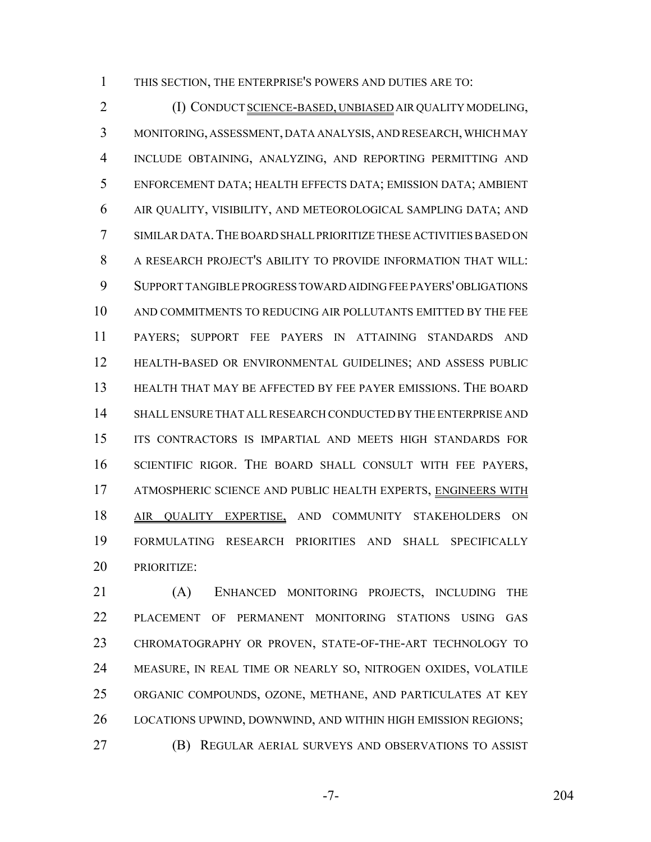THIS SECTION, THE ENTERPRISE'S POWERS AND DUTIES ARE TO:

 (I) CONDUCT SCIENCE-BASED, UNBIASED AIR QUALITY MODELING, MONITORING, ASSESSMENT, DATA ANALYSIS, AND RESEARCH, WHICH MAY INCLUDE OBTAINING, ANALYZING, AND REPORTING PERMITTING AND ENFORCEMENT DATA; HEALTH EFFECTS DATA; EMISSION DATA; AMBIENT AIR QUALITY, VISIBILITY, AND METEOROLOGICAL SAMPLING DATA; AND SIMILAR DATA.THE BOARD SHALL PRIORITIZE THESE ACTIVITIES BASED ON A RESEARCH PROJECT'S ABILITY TO PROVIDE INFORMATION THAT WILL: SUPPORT TANGIBLE PROGRESS TOWARD AIDING FEE PAYERS' OBLIGATIONS AND COMMITMENTS TO REDUCING AIR POLLUTANTS EMITTED BY THE FEE PAYERS; SUPPORT FEE PAYERS IN ATTAINING STANDARDS AND HEALTH-BASED OR ENVIRONMENTAL GUIDELINES; AND ASSESS PUBLIC HEALTH THAT MAY BE AFFECTED BY FEE PAYER EMISSIONS. THE BOARD SHALL ENSURE THAT ALL RESEARCH CONDUCTED BY THE ENTERPRISE AND ITS CONTRACTORS IS IMPARTIAL AND MEETS HIGH STANDARDS FOR SCIENTIFIC RIGOR. THE BOARD SHALL CONSULT WITH FEE PAYERS, ATMOSPHERIC SCIENCE AND PUBLIC HEALTH EXPERTS, ENGINEERS WITH 18 AIR QUALITY EXPERTISE, AND COMMUNITY STAKEHOLDERS ON FORMULATING RESEARCH PRIORITIES AND SHALL SPECIFICALLY PRIORITIZE:

 (A) ENHANCED MONITORING PROJECTS, INCLUDING THE PLACEMENT OF PERMANENT MONITORING STATIONS USING GAS CHROMATOGRAPHY OR PROVEN, STATE-OF-THE-ART TECHNOLOGY TO MEASURE, IN REAL TIME OR NEARLY SO, NITROGEN OXIDES, VOLATILE ORGANIC COMPOUNDS, OZONE, METHANE, AND PARTICULATES AT KEY LOCATIONS UPWIND, DOWNWIND, AND WITHIN HIGH EMISSION REGIONS; (B) REGULAR AERIAL SURVEYS AND OBSERVATIONS TO ASSIST

-7- 204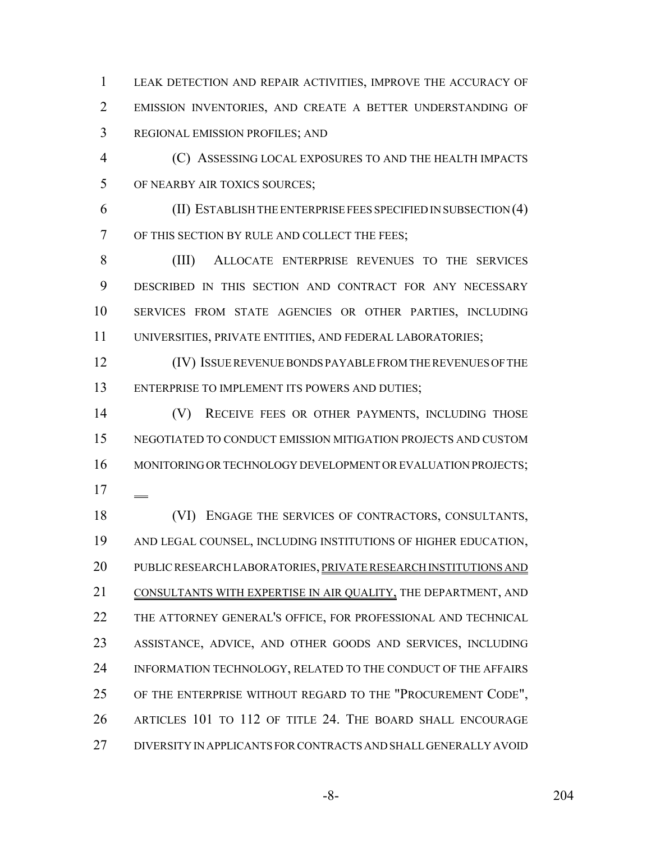LEAK DETECTION AND REPAIR ACTIVITIES, IMPROVE THE ACCURACY OF EMISSION INVENTORIES, AND CREATE A BETTER UNDERSTANDING OF REGIONAL EMISSION PROFILES; AND

 (C) ASSESSING LOCAL EXPOSURES TO AND THE HEALTH IMPACTS OF NEARBY AIR TOXICS SOURCES;

 (II) ESTABLISH THE ENTERPRISE FEES SPECIFIED IN SUBSECTION (4) OF THIS SECTION BY RULE AND COLLECT THE FEES;

 (III) ALLOCATE ENTERPRISE REVENUES TO THE SERVICES DESCRIBED IN THIS SECTION AND CONTRACT FOR ANY NECESSARY SERVICES FROM STATE AGENCIES OR OTHER PARTIES, INCLUDING UNIVERSITIES, PRIVATE ENTITIES, AND FEDERAL LABORATORIES;

 (IV) ISSUE REVENUE BONDS PAYABLE FROM THE REVENUES OF THE ENTERPRISE TO IMPLEMENT ITS POWERS AND DUTIES;

 (V) RECEIVE FEES OR OTHER PAYMENTS, INCLUDING THOSE NEGOTIATED TO CONDUCT EMISSION MITIGATION PROJECTS AND CUSTOM 16 MONITORING OR TECHNOLOGY DEVELOPMENT OR EVALUATION PROJECTS; 

 (VI) ENGAGE THE SERVICES OF CONTRACTORS, CONSULTANTS, AND LEGAL COUNSEL, INCLUDING INSTITUTIONS OF HIGHER EDUCATION, PUBLIC RESEARCH LABORATORIES, PRIVATE RESEARCH INSTITUTIONS AND CONSULTANTS WITH EXPERTISE IN AIR QUALITY, THE DEPARTMENT, AND THE ATTORNEY GENERAL'S OFFICE, FOR PROFESSIONAL AND TECHNICAL ASSISTANCE, ADVICE, AND OTHER GOODS AND SERVICES, INCLUDING INFORMATION TECHNOLOGY, RELATED TO THE CONDUCT OF THE AFFAIRS 25 OF THE ENTERPRISE WITHOUT REGARD TO THE "PROCUREMENT CODE", ARTICLES 101 TO 112 OF TITLE 24. THE BOARD SHALL ENCOURAGE DIVERSITY IN APPLICANTS FOR CONTRACTS AND SHALL GENERALLY AVOID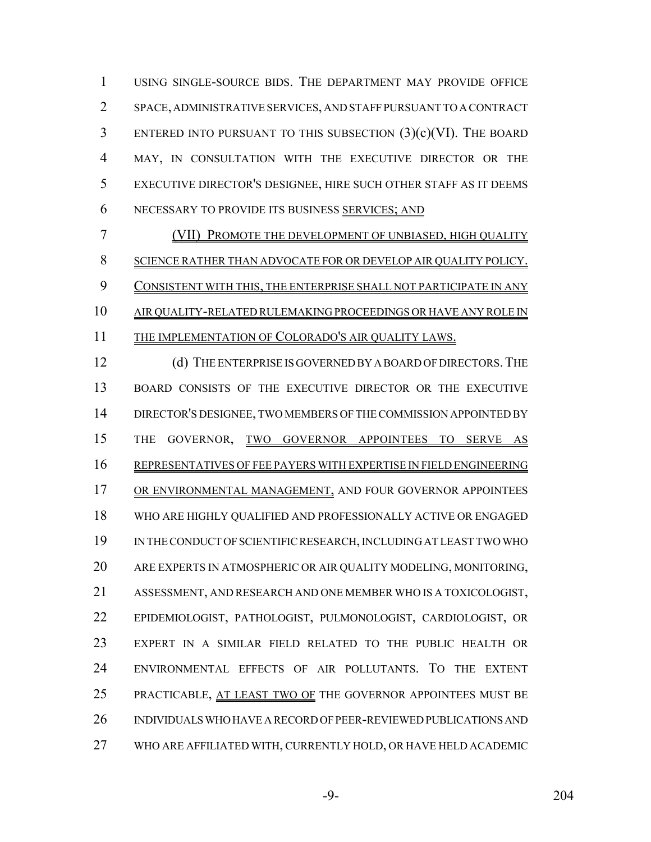USING SINGLE-SOURCE BIDS. THE DEPARTMENT MAY PROVIDE OFFICE SPACE, ADMINISTRATIVE SERVICES, AND STAFF PURSUANT TO A CONTRACT ENTERED INTO PURSUANT TO THIS SUBSECTION (3)(c)(VI). THE BOARD MAY, IN CONSULTATION WITH THE EXECUTIVE DIRECTOR OR THE EXECUTIVE DIRECTOR'S DESIGNEE, HIRE SUCH OTHER STAFF AS IT DEEMS NECESSARY TO PROVIDE ITS BUSINESS SERVICES; AND

 (VII) PROMOTE THE DEVELOPMENT OF UNBIASED, HIGH QUALITY SCIENCE RATHER THAN ADVOCATE FOR OR DEVELOP AIR QUALITY POLICY. CONSISTENT WITH THIS, THE ENTERPRISE SHALL NOT PARTICIPATE IN ANY AIR QUALITY-RELATED RULEMAKING PROCEEDINGS OR HAVE ANY ROLE IN 11 THE IMPLEMENTATION OF COLORADO'S AIR QUALITY LAWS.

12 (d) THE ENTERPRISE IS GOVERNED BY A BOARD OF DIRECTORS. THE 13 BOARD CONSISTS OF THE EXECUTIVE DIRECTOR OR THE EXECUTIVE DIRECTOR'S DESIGNEE, TWO MEMBERS OF THE COMMISSION APPOINTED BY THE GOVERNOR, TWO GOVERNOR APPOINTEES TO SERVE AS REPRESENTATIVES OF FEE PAYERS WITH EXPERTISE IN FIELD ENGINEERING OR ENVIRONMENTAL MANAGEMENT, AND FOUR GOVERNOR APPOINTEES WHO ARE HIGHLY QUALIFIED AND PROFESSIONALLY ACTIVE OR ENGAGED IN THE CONDUCT OF SCIENTIFIC RESEARCH, INCLUDING AT LEAST TWO WHO ARE EXPERTS IN ATMOSPHERIC OR AIR QUALITY MODELING, MONITORING, ASSESSMENT, AND RESEARCH AND ONE MEMBER WHO IS A TOXICOLOGIST, EPIDEMIOLOGIST, PATHOLOGIST, PULMONOLOGIST, CARDIOLOGIST, OR EXPERT IN A SIMILAR FIELD RELATED TO THE PUBLIC HEALTH OR ENVIRONMENTAL EFFECTS OF AIR POLLUTANTS. TO THE EXTENT 25 PRACTICABLE, AT LEAST TWO OF THE GOVERNOR APPOINTEES MUST BE INDIVIDUALS WHO HAVE A RECORD OF PEER-REVIEWED PUBLICATIONS AND WHO ARE AFFILIATED WITH, CURRENTLY HOLD, OR HAVE HELD ACADEMIC

-9- 204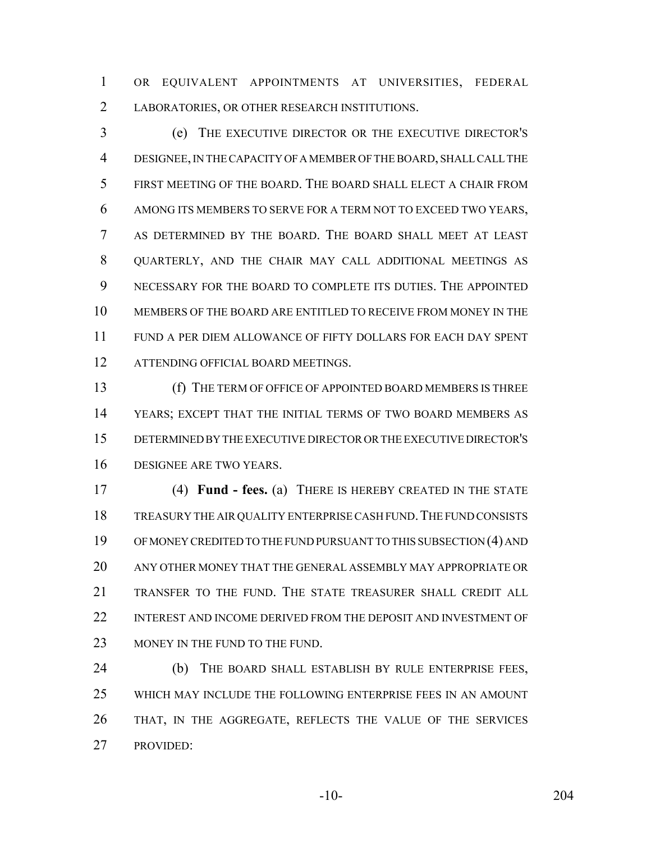OR EQUIVALENT APPOINTMENTS AT UNIVERSITIES, FEDERAL LABORATORIES, OR OTHER RESEARCH INSTITUTIONS.

 (e) THE EXECUTIVE DIRECTOR OR THE EXECUTIVE DIRECTOR'S DESIGNEE, IN THE CAPACITY OF A MEMBER OF THE BOARD, SHALL CALL THE FIRST MEETING OF THE BOARD. THE BOARD SHALL ELECT A CHAIR FROM AMONG ITS MEMBERS TO SERVE FOR A TERM NOT TO EXCEED TWO YEARS, AS DETERMINED BY THE BOARD. THE BOARD SHALL MEET AT LEAST QUARTERLY, AND THE CHAIR MAY CALL ADDITIONAL MEETINGS AS NECESSARY FOR THE BOARD TO COMPLETE ITS DUTIES. THE APPOINTED MEMBERS OF THE BOARD ARE ENTITLED TO RECEIVE FROM MONEY IN THE FUND A PER DIEM ALLOWANCE OF FIFTY DOLLARS FOR EACH DAY SPENT 12 ATTENDING OFFICIAL BOARD MEETINGS.

 (f) THE TERM OF OFFICE OF APPOINTED BOARD MEMBERS IS THREE YEARS; EXCEPT THAT THE INITIAL TERMS OF TWO BOARD MEMBERS AS DETERMINED BY THE EXECUTIVE DIRECTOR OR THE EXECUTIVE DIRECTOR'S DESIGNEE ARE TWO YEARS.

 (4) **Fund - fees.** (a) THERE IS HEREBY CREATED IN THE STATE TREASURY THE AIR QUALITY ENTERPRISE CASH FUND.THE FUND CONSISTS OF MONEY CREDITED TO THE FUND PURSUANT TO THIS SUBSECTION (4) AND ANY OTHER MONEY THAT THE GENERAL ASSEMBLY MAY APPROPRIATE OR TRANSFER TO THE FUND. THE STATE TREASURER SHALL CREDIT ALL 22 INTEREST AND INCOME DERIVED FROM THE DEPOSIT AND INVESTMENT OF 23 MONEY IN THE FUND TO THE FUND.

 (b) THE BOARD SHALL ESTABLISH BY RULE ENTERPRISE FEES, WHICH MAY INCLUDE THE FOLLOWING ENTERPRISE FEES IN AN AMOUNT THAT, IN THE AGGREGATE, REFLECTS THE VALUE OF THE SERVICES PROVIDED:

-10- 204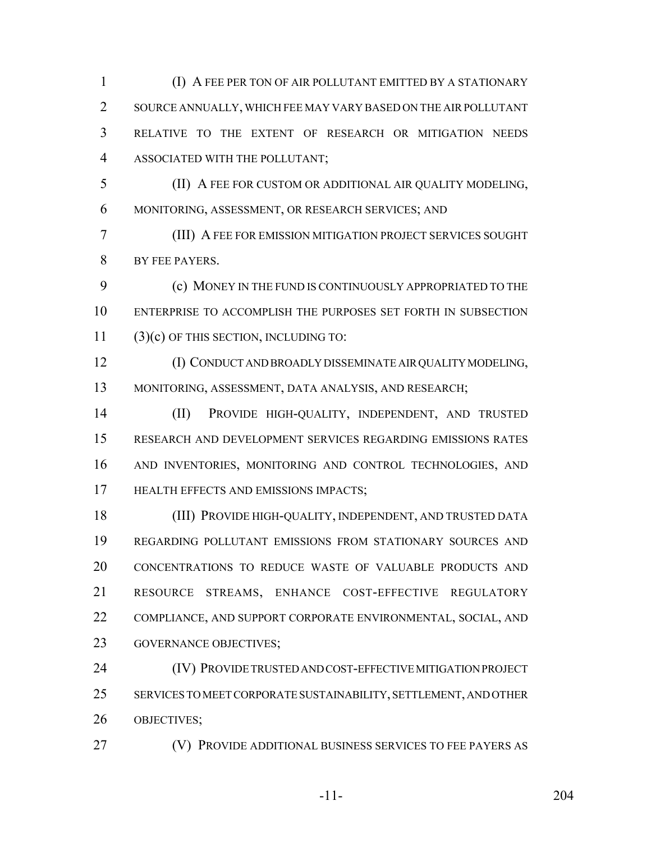(I) A FEE PER TON OF AIR POLLUTANT EMITTED BY A STATIONARY SOURCE ANNUALLY, WHICH FEE MAY VARY BASED ON THE AIR POLLUTANT RELATIVE TO THE EXTENT OF RESEARCH OR MITIGATION NEEDS ASSOCIATED WITH THE POLLUTANT;

 (II) A FEE FOR CUSTOM OR ADDITIONAL AIR QUALITY MODELING, MONITORING, ASSESSMENT, OR RESEARCH SERVICES; AND

 (III) A FEE FOR EMISSION MITIGATION PROJECT SERVICES SOUGHT BY FEE PAYERS.

 (c) MONEY IN THE FUND IS CONTINUOUSLY APPROPRIATED TO THE ENTERPRISE TO ACCOMPLISH THE PURPOSES SET FORTH IN SUBSECTION (3)(c) OF THIS SECTION, INCLUDING TO:

 (I) CONDUCT AND BROADLY DISSEMINATE AIR QUALITY MODELING, MONITORING, ASSESSMENT, DATA ANALYSIS, AND RESEARCH;

 (II) PROVIDE HIGH-QUALITY, INDEPENDENT, AND TRUSTED RESEARCH AND DEVELOPMENT SERVICES REGARDING EMISSIONS RATES AND INVENTORIES, MONITORING AND CONTROL TECHNOLOGIES, AND HEALTH EFFECTS AND EMISSIONS IMPACTS;

 (III) PROVIDE HIGH-QUALITY, INDEPENDENT, AND TRUSTED DATA REGARDING POLLUTANT EMISSIONS FROM STATIONARY SOURCES AND CONCENTRATIONS TO REDUCE WASTE OF VALUABLE PRODUCTS AND RESOURCE STREAMS, ENHANCE COST-EFFECTIVE REGULATORY COMPLIANCE, AND SUPPORT CORPORATE ENVIRONMENTAL, SOCIAL, AND GOVERNANCE OBJECTIVES;

 (IV) PROVIDE TRUSTED AND COST-EFFECTIVE MITIGATION PROJECT SERVICES TO MEET CORPORATE SUSTAINABILITY, SETTLEMENT, AND OTHER OBJECTIVES;

(V) PROVIDE ADDITIONAL BUSINESS SERVICES TO FEE PAYERS AS

-11- 204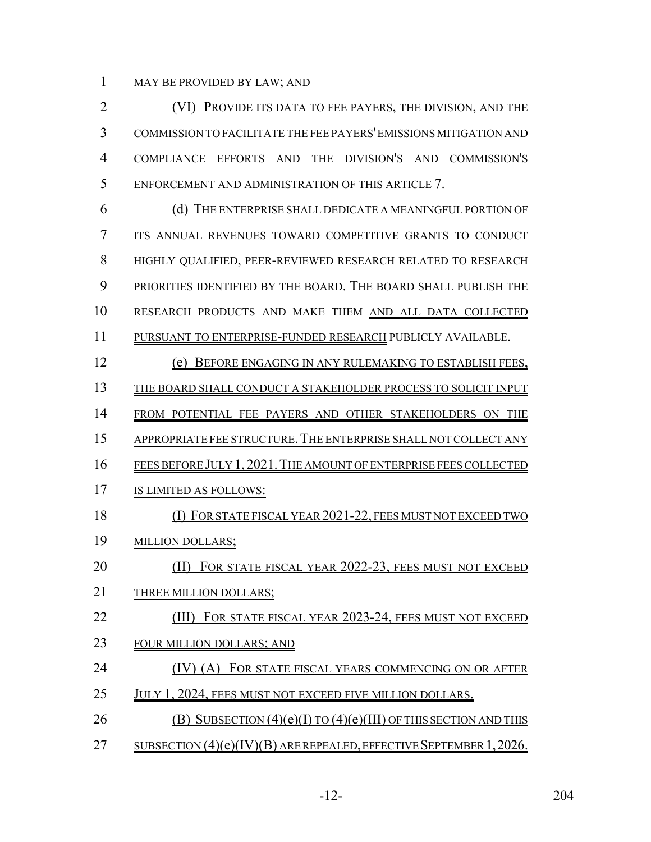MAY BE PROVIDED BY LAW; AND

 (VI) PROVIDE ITS DATA TO FEE PAYERS, THE DIVISION, AND THE COMMISSION TO FACILITATE THE FEE PAYERS' EMISSIONS MITIGATION AND COMPLIANCE EFFORTS AND THE DIVISION'S AND COMMISSION'S ENFORCEMENT AND ADMINISTRATION OF THIS ARTICLE 7.

 (d) THE ENTERPRISE SHALL DEDICATE A MEANINGFUL PORTION OF ITS ANNUAL REVENUES TOWARD COMPETITIVE GRANTS TO CONDUCT HIGHLY QUALIFIED, PEER-REVIEWED RESEARCH RELATED TO RESEARCH PRIORITIES IDENTIFIED BY THE BOARD. THE BOARD SHALL PUBLISH THE RESEARCH PRODUCTS AND MAKE THEM AND ALL DATA COLLECTED PURSUANT TO ENTERPRISE-FUNDED RESEARCH PUBLICLY AVAILABLE.

- (e) BEFORE ENGAGING IN ANY RULEMAKING TO ESTABLISH FEES,
- THE BOARD SHALL CONDUCT A STAKEHOLDER PROCESS TO SOLICIT INPUT
- 14 FROM POTENTIAL FEE PAYERS AND OTHER STAKEHOLDERS ON THE
- 15 APPROPRIATE FEE STRUCTURE. THE ENTERPRISE SHALL NOT COLLECT ANY
- FEES BEFORE JULY 1, 2021.THE AMOUNT OF ENTERPRISE FEES COLLECTED
- IS LIMITED AS FOLLOWS:
- (I) FOR STATE FISCAL YEAR 2021-22, FEES MUST NOT EXCEED TWO
- MILLION DOLLARS;
- 20 (II) FOR STATE FISCAL YEAR 2022-23, FEES MUST NOT EXCEED
- 21 THREE MILLION DOLLARS;
- **(III)** FOR STATE FISCAL YEAR 2023-24, FEES MUST NOT EXCEED
- FOUR MILLION DOLLARS; AND
- **(IV) (A) FOR STATE FISCAL YEARS COMMENCING ON OR AFTER**
- 25 JULY 1, 2024, FEES MUST NOT EXCEED FIVE MILLION DOLLARS.
- 26 (B) SUBSECTION  $(4)(e)(I)$  TO  $(4)(e)(III)$  OF THIS SECTION AND THIS
- SUBSECTION (4)(e)(IV)(B) ARE REPEALED, EFFECTIVE SEPTEMBER 1,2026.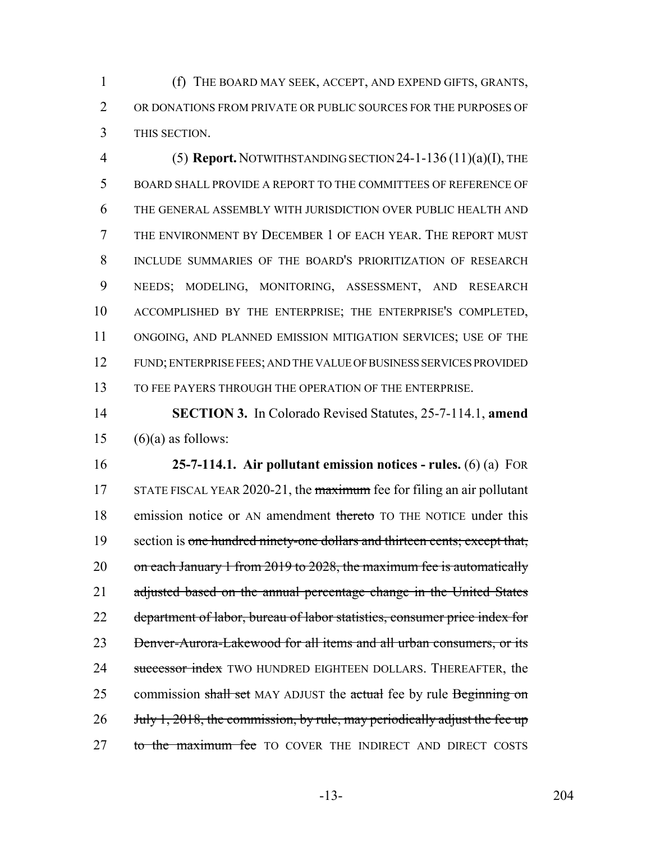(f) THE BOARD MAY SEEK, ACCEPT, AND EXPEND GIFTS, GRANTS, OR DONATIONS FROM PRIVATE OR PUBLIC SOURCES FOR THE PURPOSES OF THIS SECTION.

 (5) **Report.** NOTWITHSTANDING SECTION 24-1-136 (11)(a)(I), THE BOARD SHALL PROVIDE A REPORT TO THE COMMITTEES OF REFERENCE OF THE GENERAL ASSEMBLY WITH JURISDICTION OVER PUBLIC HEALTH AND THE ENVIRONMENT BY DECEMBER 1 OF EACH YEAR. THE REPORT MUST INCLUDE SUMMARIES OF THE BOARD'S PRIORITIZATION OF RESEARCH NEEDS; MODELING, MONITORING, ASSESSMENT, AND RESEARCH ACCOMPLISHED BY THE ENTERPRISE; THE ENTERPRISE'S COMPLETED, ONGOING, AND PLANNED EMISSION MITIGATION SERVICES; USE OF THE FUND; ENTERPRISE FEES; AND THE VALUE OF BUSINESS SERVICES PROVIDED TO FEE PAYERS THROUGH THE OPERATION OF THE ENTERPRISE.

 **SECTION 3.** In Colorado Revised Statutes, 25-7-114.1, **amend** 15  $(6)(a)$  as follows:

 **25-7-114.1. Air pollutant emission notices - rules.** (6) (a) FOR 17 STATE FISCAL YEAR 2020-21, the maximum fee for filing an air pollutant 18 emission notice or AN amendment thereto TO THE NOTICE under this 19 section is one hundred ninety-one dollars and thirteen cents; except that, 20 on each January 1 from 2019 to 2028, the maximum fee is automatically 21 adjusted based on the annual percentage change in the United States department of labor, bureau of labor statistics, consumer price index for Denver-Aurora-Lakewood for all items and all urban consumers, or its 24 successor index TWO HUNDRED EIGHTEEN DOLLARS. THEREAFTER, the 25 commission shall set MAY ADJUST the actual fee by rule Beginning on 26 July 1, 2018, the commission, by rule, may periodically adjust the fee up 27 to the maximum fee TO COVER THE INDIRECT AND DIRECT COSTS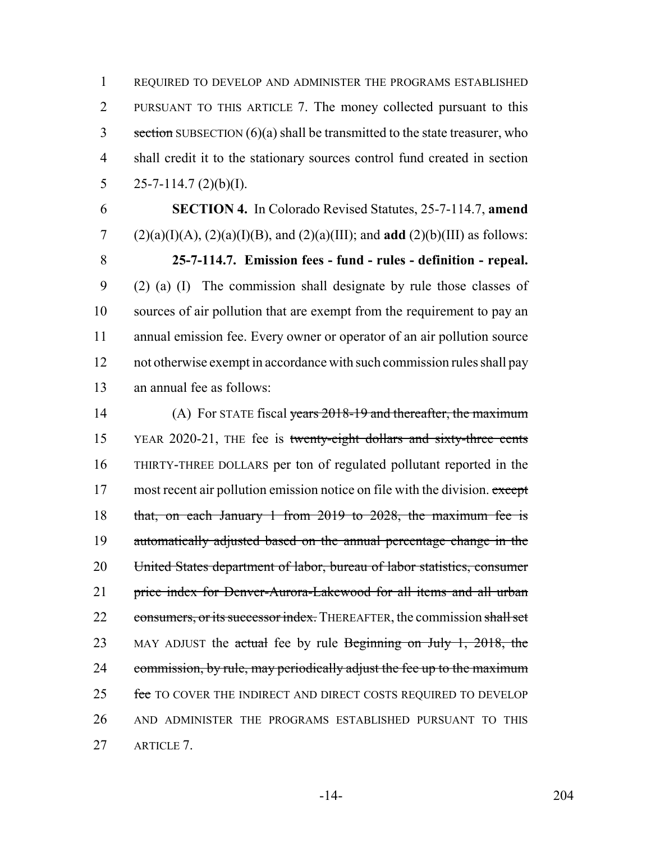REQUIRED TO DEVELOP AND ADMINISTER THE PROGRAMS ESTABLISHED PURSUANT TO THIS ARTICLE 7. The money collected pursuant to this section SUBSECTION  $(6)(a)$  shall be transmitted to the state treasurer, who shall credit it to the stationary sources control fund created in section 5 25-7-114.7  $(2)(b)(I)$ .

 **SECTION 4.** In Colorado Revised Statutes, 25-7-114.7, **amend** (2)(a)(I)(A), (2)(a)(I)(B), and (2)(a)(III); and **add** (2)(b)(III) as follows: **25-7-114.7. Emission fees - fund - rules - definition - repeal.** (2) (a) (I) The commission shall designate by rule those classes of sources of air pollution that are exempt from the requirement to pay an annual emission fee. Every owner or operator of an air pollution source not otherwise exempt in accordance with such commission rules shall pay an annual fee as follows:

14 (A) For STATE fiscal years 2018-19 and thereafter, the maximum YEAR 2020-21, THE fee is twenty-eight dollars and sixty-three cents THIRTY-THREE DOLLARS per ton of regulated pollutant reported in the 17 most recent air pollution emission notice on file with the division. except that, on each January 1 from 2019 to 2028, the maximum fee is automatically adjusted based on the annual percentage change in the United States department of labor, bureau of labor statistics, consumer price index for Denver-Aurora-Lakewood for all items and all urban 22 consumers, or its successor index. THEREAFTER, the commission shall set 23 MAY ADJUST the actual fee by rule Beginning on July 1, 2018, the 24 commission, by rule, may periodically adjust the fee up to the maximum 25 fee TO COVER THE INDIRECT AND DIRECT COSTS REQUIRED TO DEVELOP AND ADMINISTER THE PROGRAMS ESTABLISHED PURSUANT TO THIS ARTICLE 7.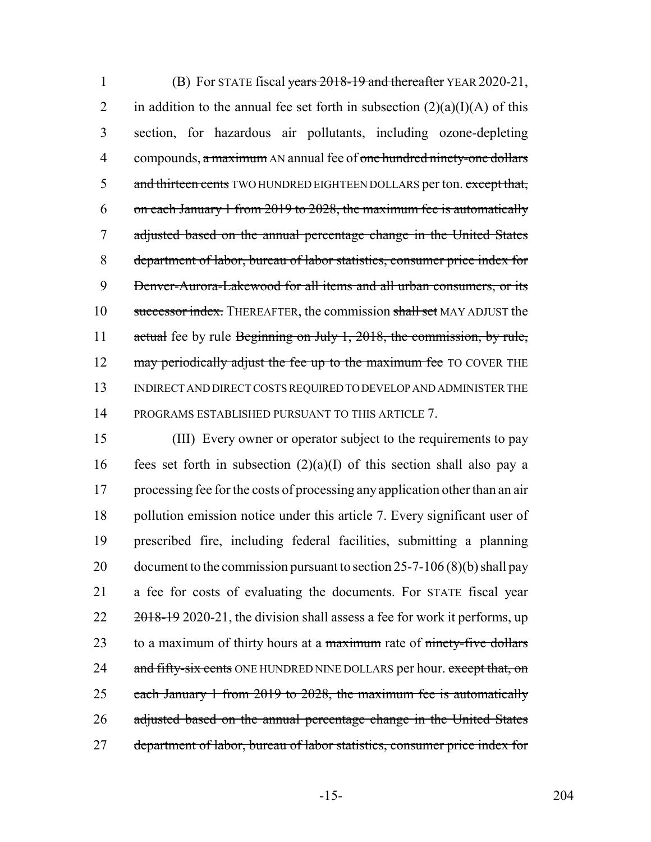1 (B) For STATE fiscal years 2018-19 and thereafter YEAR 2020-21, 2 in addition to the annual fee set forth in subsection  $(2)(a)(I)(A)$  of this 3 section, for hazardous air pollutants, including ozone-depleting 4 compounds, a maximum AN annual fee of one hundred ninety-one dollars 5 and thirteen cents TWO HUNDRED EIGHTEEN DOLLARS per ton. except that, 6 on each January 1 from 2019 to 2028, the maximum fee is automatically 7 adjusted based on the annual percentage change in the United States 8 department of labor, bureau of labor statistics, consumer price index for 9 Denver-Aurora-Lakewood for all items and all urban consumers, or its 10 successor index. THEREAFTER, the commission shall set MAY ADJUST the 11 actual fee by rule Beginning on July 1, 2018, the commission, by rule, 12 may periodically adjust the fee up to the maximum fee TO COVER THE 13 INDIRECT AND DIRECT COSTS REQUIRED TO DEVELOP AND ADMINISTER THE 14 PROGRAMS ESTABLISHED PURSUANT TO THIS ARTICLE 7.

15 (III) Every owner or operator subject to the requirements to pay 16 fees set forth in subsection  $(2)(a)(I)$  of this section shall also pay a 17 processing fee for the costs of processing any application other than an air 18 pollution emission notice under this article 7. Every significant user of 19 prescribed fire, including federal facilities, submitting a planning 20 document to the commission pursuant to section 25-7-106  $(8)(b)$  shall pay 21 a fee for costs of evaluating the documents. For STATE fiscal year  $22 \frac{2018-19}{2020-21}$ , the division shall assess a fee for work it performs, up 23 to a maximum of thirty hours at a maximum rate of ninety-five dollars 24 and fifty-six cents ONE HUNDRED NINE DOLLARS per hour. except that, on 25 each January 1 from 2019 to 2028, the maximum fee is automatically 26 adjusted based on the annual percentage change in the United States 27 department of labor, bureau of labor statistics, consumer price index for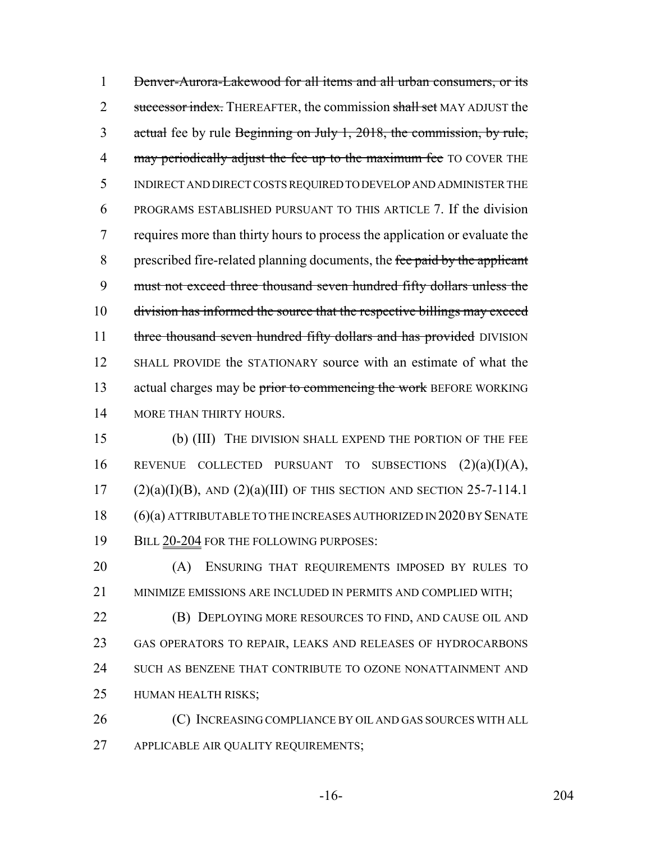Denver-Aurora-Lakewood for all items and all urban consumers, or its 2 successor index. THEREAFTER, the commission shall set MAY ADJUST the actual fee by rule Beginning on July 1, 2018, the commission, by rule, 4 may periodically adjust the fee up to the maximum fee TO COVER THE INDIRECT AND DIRECT COSTS REQUIRED TO DEVELOP AND ADMINISTER THE PROGRAMS ESTABLISHED PURSUANT TO THIS ARTICLE 7. If the division requires more than thirty hours to process the application or evaluate the 8 prescribed fire-related planning documents, the fee paid by the applicant must not exceed three thousand seven hundred fifty dollars unless the division has informed the source that the respective billings may exceed 11 three thousand seven hundred fifty dollars and has provided DIVISION SHALL PROVIDE the STATIONARY source with an estimate of what the 13 actual charges may be prior to commencing the work BEFORE WORKING 14 MORE THAN THIRTY HOURS.

 (b) (III) THE DIVISION SHALL EXPEND THE PORTION OF THE FEE 16 REVENUE COLLECTED PURSUANT TO SUBSECTIONS  $(2)(a)(I)(A)$ , (2)(a)(I)(B), AND (2)(a)(III) OF THIS SECTION AND SECTION 25-7-114.1 (6)(a) ATTRIBUTABLE TO THE INCREASES AUTHORIZED IN 2020 BY SENATE 19 BILL 20-204 FOR THE FOLLOWING PURPOSES:

 (A) ENSURING THAT REQUIREMENTS IMPOSED BY RULES TO MINIMIZE EMISSIONS ARE INCLUDED IN PERMITS AND COMPLIED WITH;

 (B) DEPLOYING MORE RESOURCES TO FIND, AND CAUSE OIL AND GAS OPERATORS TO REPAIR, LEAKS AND RELEASES OF HYDROCARBONS SUCH AS BENZENE THAT CONTRIBUTE TO OZONE NONATTAINMENT AND HUMAN HEALTH RISKS;

26 (C) INCREASING COMPLIANCE BY OIL AND GAS SOURCES WITH ALL APPLICABLE AIR QUALITY REQUIREMENTS;